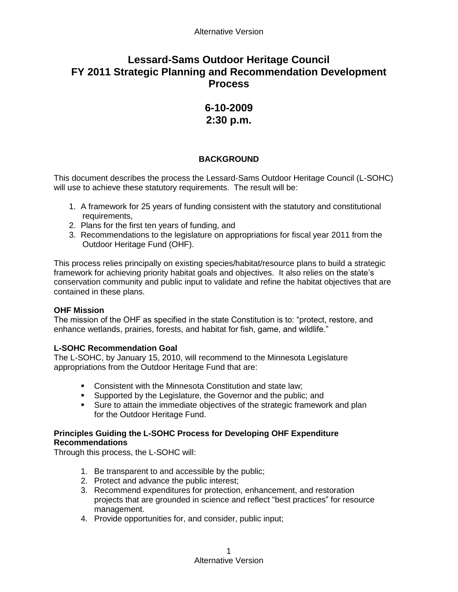# **Lessard-Sams Outdoor Heritage Council FY 2011 Strategic Planning and Recommendation Development Process**

## **6-10-2009 2:30 p.m.**

## **BACKGROUND**

This document describes the process the Lessard-Sams Outdoor Heritage Council (L-SOHC) will use to achieve these statutory requirements. The result will be:

- 1. A framework for 25 years of funding consistent with the statutory and constitutional requirements,
- 2. Plans for the first ten years of funding, and
- 3. Recommendations to the legislature on appropriations for fiscal year 2011 from the Outdoor Heritage Fund (OHF).

This process relies principally on existing species/habitat/resource plans to build a strategic framework for achieving priority habitat goals and objectives. It also relies on the state's conservation community and public input to validate and refine the habitat objectives that are contained in these plans.

## **OHF Mission**

The mission of the OHF as specified in the state Constitution is to: "protect, restore, and enhance wetlands, prairies, forests, and habitat for fish, game, and wildlife."

## **L-SOHC Recommendation Goal**

The L-SOHC, by January 15, 2010, will recommend to the Minnesota Legislature appropriations from the Outdoor Heritage Fund that are:

- **Consistent with the Minnesota Constitution and state law;**
- **Supported by the Legislature, the Governor and the public; and**
- Sure to attain the immediate objectives of the strategic framework and plan for the Outdoor Heritage Fund.

## **Principles Guiding the L-SOHC Process for Developing OHF Expenditure Recommendations**

Through this process, the L-SOHC will:

- 1. Be transparent to and accessible by the public;
- 2. Protect and advance the public interest;
- 3. Recommend expenditures for protection, enhancement, and restoration projects that are grounded in science and reflect "best practices" for resource management.
- 4. Provide opportunities for, and consider, public input;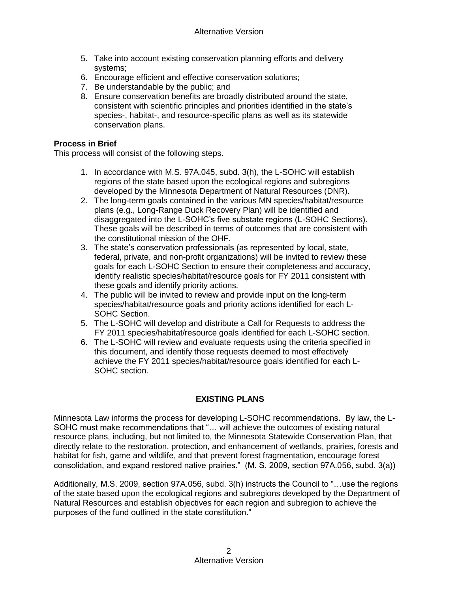- 5. Take into account existing conservation planning efforts and delivery systems;
- 6. Encourage efficient and effective conservation solutions;
- 7. Be understandable by the public; and
- 8. Ensure conservation benefits are broadly distributed around the state, consistent with scientific principles and priorities identified in the state's species-, habitat-, and resource-specific plans as well as its statewide conservation plans.

#### **Process in Brief**

This process will consist of the following steps.

- 1. In accordance with M.S. 97A.045, subd. 3(h), the L-SOHC will establish regions of the state based upon the ecological regions and subregions developed by the Minnesota Department of Natural Resources (DNR).
- 2. The long-term goals contained in the various MN species/habitat/resource plans (e.g., Long-Range Duck Recovery Plan) will be identified and disaggregated into the L-SOHC's five substate regions (L-SOHC Sections). These goals will be described in terms of outcomes that are consistent with the constitutional mission of the OHF.
- 3. The state's conservation professionals (as represented by local, state, federal, private, and non-profit organizations) will be invited to review these goals for each L-SOHC Section to ensure their completeness and accuracy, identify realistic species/habitat/resource goals for FY 2011 consistent with these goals and identify priority actions.
- 4. The public will be invited to review and provide input on the long-term species/habitat/resource goals and priority actions identified for each L-SOHC Section.
- 5. The L-SOHC will develop and distribute a Call for Requests to address the FY 2011 species/habitat/resource goals identified for each L-SOHC section.
- 6. The L-SOHC will review and evaluate requests using the criteria specified in this document, and identify those requests deemed to most effectively achieve the FY 2011 species/habitat/resource goals identified for each L-SOHC section.

## **EXISTING PLANS**

Minnesota Law informs the process for developing L-SOHC recommendations. By law, the L-SOHC must make recommendations that "… will achieve the outcomes of existing natural resource plans, including, but not limited to, the Minnesota Statewide Conservation Plan, that directly relate to the restoration, protection, and enhancement of wetlands, prairies, forests and habitat for fish, game and wildlife, and that prevent forest fragmentation, encourage forest consolidation, and expand restored native prairies." (M. S. 2009, section 97A.056, subd. 3(a))

Additionally, M.S. 2009, section 97A.056, subd. 3(h) instructs the Council to "…use the regions of the state based upon the ecological regions and subregions developed by the Department of Natural Resources and establish objectives for each region and subregion to achieve the purposes of the fund outlined in the state constitution."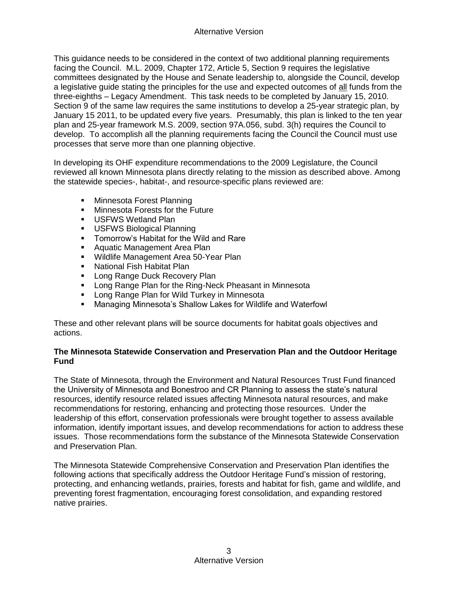This guidance needs to be considered in the context of two additional planning requirements facing the Council. M.L. 2009, Chapter 172, Article 5, Section 9 requires the legislative committees designated by the House and Senate leadership to, alongside the Council, develop a legislative guide stating the principles for the use and expected outcomes of all funds from the three-eighths – Legacy Amendment. This task needs to be completed by January 15, 2010. Section 9 of the same law requires the same institutions to develop a 25-year strategic plan, by January 15 2011, to be updated every five years. Presumably, this plan is linked to the ten year plan and 25-year framework M.S. 2009, section 97A.056, subd. 3(h) requires the Council to develop. To accomplish all the planning requirements facing the Council the Council must use processes that serve more than one planning objective.

In developing its OHF expenditure recommendations to the 2009 Legislature, the Council reviewed all known Minnesota plans directly relating to the mission as described above. Among the statewide species-, habitat-, and resource-specific plans reviewed are:

- **Minnesota Forest Planning**
- **Minnesota Forests for the Future**
- **USFWS Wetland Plan**
- **USFWS Biological Planning**
- **Tomorrow's Habitat for the Wild and Rare**
- **Aquatic Management Area Plan**
- **Wildlife Management Area 50-Year Plan**
- **National Fish Habitat Plan**
- **Long Range Duck Recovery Plan**
- **Long Range Plan for the Ring-Neck Pheasant in Minnesota**
- **EXEDENT PLAN** For Wild Turkey in Minnesota
- Managing Minnesota's Shallow Lakes for Wildlife and Waterfowl

These and other relevant plans will be source documents for habitat goals objectives and actions.

## **The Minnesota Statewide Conservation and Preservation Plan and the Outdoor Heritage Fund**

The State of Minnesota, through the Environment and Natural Resources Trust Fund financed the University of Minnesota and Bonestroo and CR Planning to assess the state's natural resources, identify resource related issues affecting Minnesota natural resources, and make recommendations for restoring, enhancing and protecting those resources. Under the leadership of this effort, conservation professionals were brought together to assess available information, identify important issues, and develop recommendations for action to address these issues. Those recommendations form the substance of the Minnesota Statewide Conservation and Preservation Plan.

The Minnesota Statewide Comprehensive Conservation and Preservation Plan identifies the following actions that specifically address the Outdoor Heritage Fund's mission of restoring, protecting, and enhancing wetlands, prairies, forests and habitat for fish, game and wildlife, and preventing forest fragmentation, encouraging forest consolidation, and expanding restored native prairies.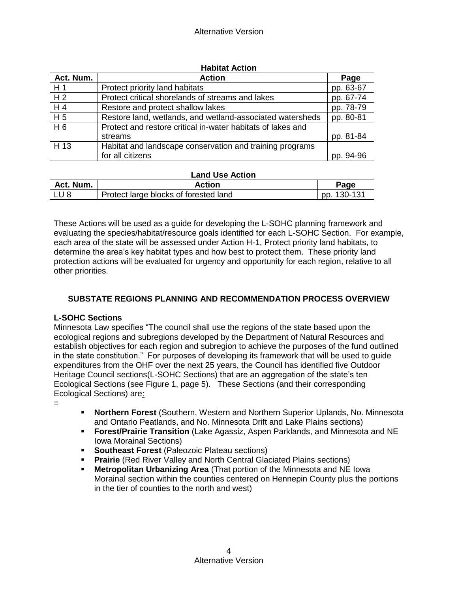| Act. Num.      | <b>Action</b>                                               | Page      |
|----------------|-------------------------------------------------------------|-----------|
| H1             | Protect priority land habitats                              | pp. 63-67 |
| H <sub>2</sub> | Protect critical shorelands of streams and lakes            | pp. 67-74 |
| H <sub>4</sub> | Restore and protect shallow lakes                           | pp. 78-79 |
| H <sub>5</sub> | Restore land, wetlands, and wetland-associated watersheds   | pp. 80-81 |
| H6             | Protect and restore critical in-water habitats of lakes and |           |
|                | streams                                                     | pp. 81-84 |
| H 13           | Habitat and landscape conservation and training programs    |           |
|                | for all citizens                                            | pp. 94-96 |

#### **Habitat Action**

#### **Land Use Action**

| Act. Num. | Action                                | Page        |
|-----------|---------------------------------------|-------------|
| ' LU 8    | Protect large blocks of forested land | pp. 130-131 |

These Actions will be used as a guide for developing the L-SOHC planning framework and evaluating the species/habitat/resource goals identified for each L-SOHC Section. For example, each area of the state will be assessed under Action H-1, Protect priority land habitats, to determine the area's key habitat types and how best to protect them. These priority land protection actions will be evaluated for urgency and opportunity for each region, relative to all other priorities.

## **SUBSTATE REGIONS PLANNING AND RECOMMENDATION PROCESS OVERVIEW**

#### **L-SOHC Sections**

Minnesota Law specifies "The council shall use the regions of the state based upon the ecological regions and subregions developed by the Department of Natural Resources and establish objectives for each region and subregion to achieve the purposes of the fund outlined in the state constitution." For purposes of developing its framework that will be used to guide expenditures from the OHF over the next 25 years, the Council has identified five Outdoor Heritage Council sections(L-SOHC Sections) that are an aggregation of the state's ten Ecological Sections (see Figure 1, page 5). These Sections (and their corresponding Ecological Sections) are:

=

- **Northern Forest** (Southern, Western and Northern Superior Uplands, No. Minnesota and Ontario Peatlands, and No. Minnesota Drift and Lake Plains sections)
- **Forest/Prairie Transition** (Lake Agassiz, Aspen Parklands, and Minnesota and NE Iowa Morainal Sections)
- **Southeast Forest** (Paleozoic Plateau sections)
- **Prairie** (Red River Valley and North Central Glaciated Plains sections)
- **Metropolitan Urbanizing Area** (That portion of the Minnesota and NE Iowa Morainal section within the counties centered on Hennepin County plus the portions in the tier of counties to the north and west)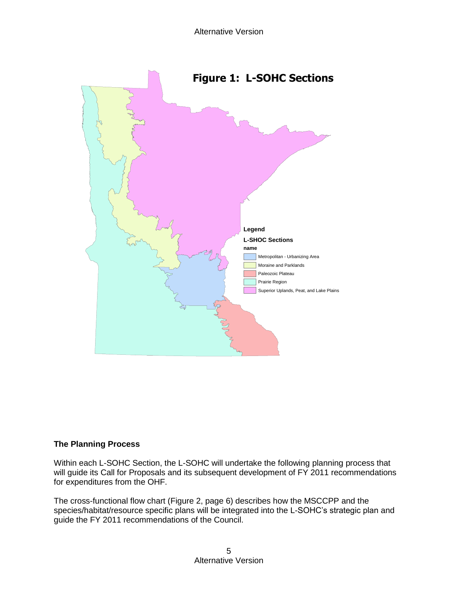

#### **The Planning Process**

Within each L-SOHC Section, the L-SOHC will undertake the following planning process that will guide its Call for Proposals and its subsequent development of FY 2011 recommendations for expenditures from the OHF.

The cross-functional flow chart (Figure 2, page 6) describes how the MSCCPP and the species/habitat/resource specific plans will be integrated into the L-SOHC's strategic plan and guide the FY 2011 recommendations of the Council.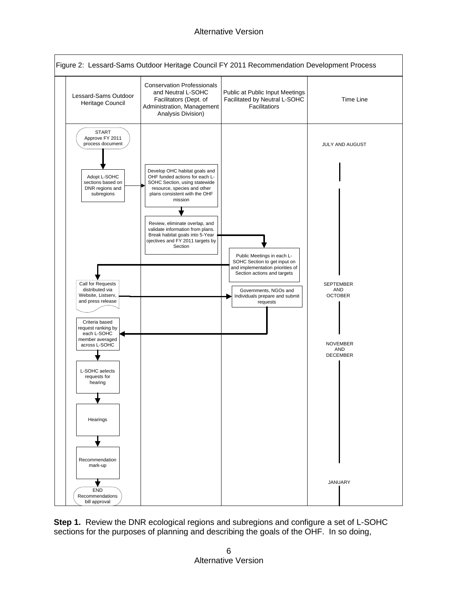## Alternative Version



**Step 1.** Review the DNR ecological regions and subregions and configure a set of L-SOHC sections for the purposes of planning and describing the goals of the OHF. In so doing,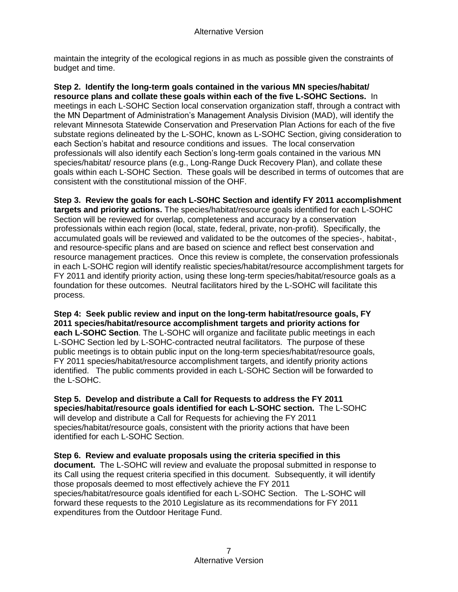maintain the integrity of the ecological regions in as much as possible given the constraints of budget and time.

**Step 2. Identify the long-term goals contained in the various MN species/habitat/ resource plans and collate these goals within each of the five L-SOHC Sections.** In meetings in each L-SOHC Section local conservation organization staff, through a contract with the MN Department of Administration's Management Analysis Division (MAD), will identify the relevant Minnesota Statewide Conservation and Preservation Plan Actions for each of the five substate regions delineated by the L-SOHC, known as L-SOHC Section, giving consideration to each Section's habitat and resource conditions and issues. The local conservation professionals will also identify each Section's long-term goals contained in the various MN species/habitat/ resource plans (e.g., Long-Range Duck Recovery Plan), and collate these goals within each L-SOHC Section. These goals will be described in terms of outcomes that are consistent with the constitutional mission of the OHF.

**Step 3. Review the goals for each L-SOHC Section and identify FY 2011 accomplishment targets and priority actions.** The species/habitat/resource goals identified for each L-SOHC Section will be reviewed for overlap, completeness and accuracy by a conservation professionals within each region (local, state, federal, private, non-profit). Specifically, the accumulated goals will be reviewed and validated to be the outcomes of the species-, habitat-, and resource-specific plans and are based on science and reflect best conservation and resource management practices. Once this review is complete, the conservation professionals in each L-SOHC region will identify realistic species/habitat/resource accomplishment targets for FY 2011 and identify priority action, using these long-term species/habitat/resource goals as a foundation for these outcomes. Neutral facilitators hired by the L-SOHC will facilitate this process.

**Step 4: Seek public review and input on the long-term habitat/resource goals, FY 2011 species/habitat/resource accomplishment targets and priority actions for each L-SOHC Section**. The L-SOHC will organize and facilitate public meetings in each L-SOHC Section led by L-SOHC-contracted neutral facilitators. The purpose of these public meetings is to obtain public input on the long-term species/habitat/resource goals, FY 2011 species/habitat/resource accomplishment targets, and identify priority actions identified. The public comments provided in each L-SOHC Section will be forwarded to the L-SOHC.

**Step 5. Develop and distribute a Call for Requests to address the FY 2011 species/habitat/resource goals identified for each L-SOHC section.** The L-SOHC will develop and distribute a Call for Requests for achieving the FY 2011 species/habitat/resource goals, consistent with the priority actions that have been identified for each L-SOHC Section.

**Step 6. Review and evaluate proposals using the criteria specified in this document.** The L-SOHC will review and evaluate the proposal submitted in response to its Call using the request criteria specified in this document. Subsequently, it will identify those proposals deemed to most effectively achieve the FY 2011 species/habitat/resource goals identified for each L-SOHC Section. The L-SOHC will forward these requests to the 2010 Legislature as its recommendations for FY 2011 expenditures from the Outdoor Heritage Fund.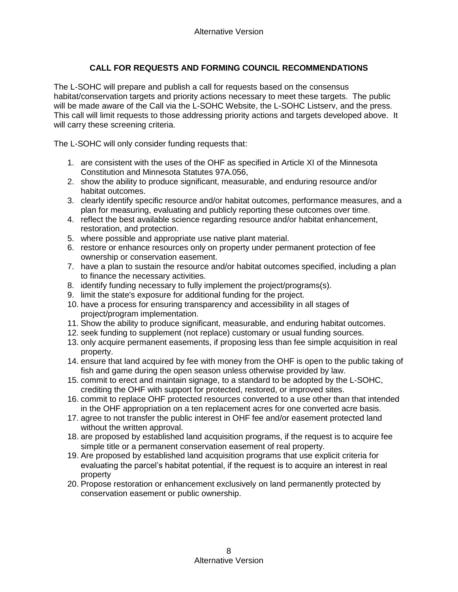## **CALL FOR REQUESTS AND FORMING COUNCIL RECOMMENDATIONS**

The L-SOHC will prepare and publish a call for requests based on the consensus habitat/conservation targets and priority actions necessary to meet these targets. The public will be made aware of the Call via the L-SOHC Website, the L-SOHC Listserv, and the press. This call will limit requests to those addressing priority actions and targets developed above. It will carry these screening criteria.

The L-SOHC will only consider funding requests that:

- 1. are consistent with the uses of the OHF as specified in Article XI of the Minnesota Constitution and Minnesota Statutes 97A.056,
- 2. show the ability to produce significant, measurable, and enduring resource and/or habitat outcomes.
- 3. clearly identify specific resource and/or habitat outcomes, performance measures, and a plan for measuring, evaluating and publicly reporting these outcomes over time.
- 4. reflect the best available science regarding resource and/or habitat enhancement, restoration, and protection.
- 5. where possible and appropriate use native plant material.
- 6. restore or enhance resources only on property under permanent protection of fee ownership or conservation easement.
- 7. have a plan to sustain the resource and/or habitat outcomes specified, including a plan to finance the necessary activities.
- 8. identify funding necessary to fully implement the project/programs(s).
- 9. limit the state's exposure for additional funding for the project.
- 10. have a process for ensuring transparency and accessibility in all stages of project/program implementation.
- 11. Show the ability to produce significant, measurable, and enduring habitat outcomes.
- 12. seek funding to supplement (not replace) customary or usual funding sources.
- 13. only acquire permanent easements, if proposing less than fee simple acquisition in real property.
- 14. ensure that land acquired by fee with money from the OHF is open to the public taking of fish and game during the open season unless otherwise provided by law.
- 15. commit to erect and maintain signage, to a standard to be adopted by the L-SOHC, crediting the OHF with support for protected, restored, or improved sites.
- 16. commit to replace OHF protected resources converted to a use other than that intended in the OHF appropriation on a ten replacement acres for one converted acre basis.
- 17. agree to not transfer the public interest in OHF fee and/or easement protected land without the written approval.
- 18. are proposed by established land acquisition programs, if the request is to acquire fee simple title or a permanent conservation easement of real property.
- 19. Are proposed by established land acquisition programs that use explicit criteria for evaluating the parcel's habitat potential, if the request is to acquire an interest in real property
- 20. Propose restoration or enhancement exclusively on land permanently protected by conservation easement or public ownership.